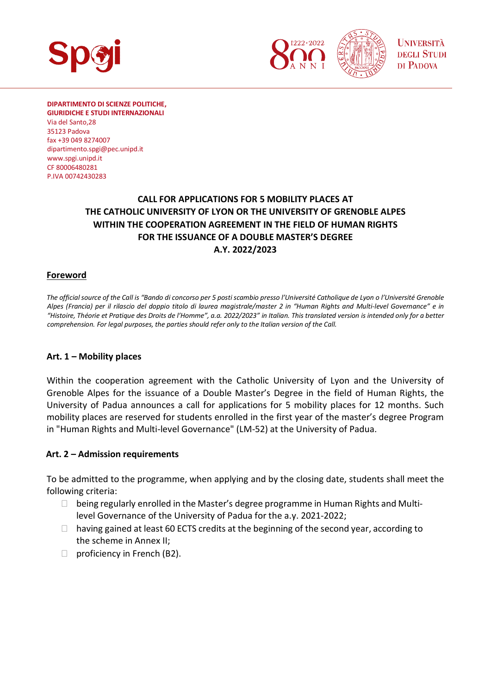

**DIPARTIMENTO DI SCIENZE POLITICHE, GIURIDICHE E STUDI INTERNAZIONALI**

Via del Santo,28 35123 Padova fax +39 049 8274007 [dipartimento.spgi@pec.unipd.it](mailto:dipartimento.spgi@pec.unipd.it) www.spgi.unipd.it CF 80006480281 P.IVA 00742430283

## **CALL FOR APPLICATIONS FOR 5 MOBILITY PLACES AT THE CATHOLIC UNIVERSITY OF LYON OR THE UNIVERSITY OF GRENOBLE ALPES WITHIN THE COOPERATION AGREEMENT IN THE FIELD OF HUMAN RIGHTS FOR THE ISSUANCE OF A DOUBLE MASTER'S DEGREE A.Y. 2022/2023**

#### **Foreword**

*The official source of the Call is "Bando di concorso per 5 posti scambio presso l'Université Catholique de Lyon o l'Université Grenoble Alpes (Francia) per il rilascio del doppio titolo di laurea magistrale/master 2 in "Human Rights and Multi-level Governance" e in "Histoire, Théorie et Pratique des Droits de l'Homme", a.a. 2022/2023" in Italian. This translated version is intended only for a better comprehension. For legal purposes, the parties should refer only to the Italian version of the Call.*

#### **Art. 1 – Mobility places**

Within the cooperation agreement with the Catholic University of Lyon and the University of Grenoble Alpes for the issuance of a Double Master's Degree in the field of Human Rights, the University of Padua announces a call for applications for 5 mobility places for 12 months. Such mobility places are reserved for students enrolled in the first year of the master's degree Program in "Human Rights and Multi-level Governance" (LM-52) at the University of Padua.

#### **Art. 2 – Admission requirements**

To be admitted to the programme, when applying and by the closing date, students shall meet the following criteria:

 being regularly enrolled in the Master's degree programme in Human Rights and Multilevel Governance of the University of Padua for the a.y. 2021-2022; having gained at least 60 ECTS credits at the beginning of the second year, according to the scheme in Annex II; proficiency in French (B2).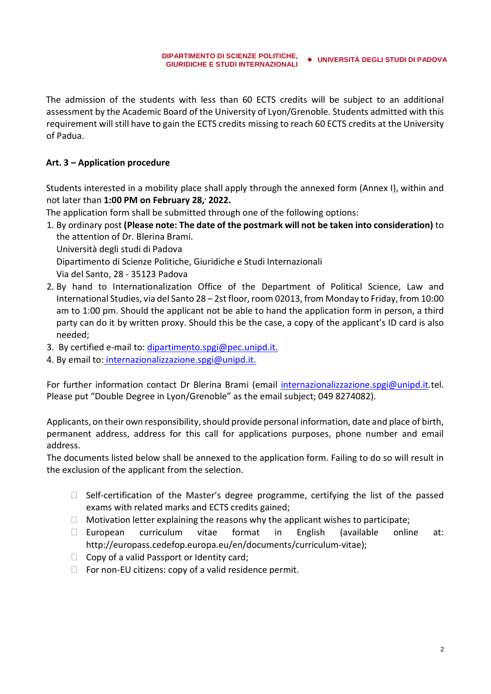The admission of the students with less than 60 ECTS credits will be subject to an additional assessment by the Academic Board of the University of Lyon/Grenoble. Students admitted with this requirement will still have to gain the ECTS credits missing to reach 60 ECTS credits at the University of Padua.

### **Art. 3 – Application procedure**

Students interested in a mobility place shall apply through the annexed form (Annex I), within and not later than **1:00 PM on February 28,, 2022.**

The application form shall be submitted through one of the following options:

1. By ordinary post **(Please note: The date of the postmark will not be taken into consideration)** to the attention of Dr. Blerina Brami.

Università degli studi di Padova

Dipartimento di Scienze Politiche, Giuridiche e Studi Internazionali

Via del Santo, 28 - 35123 Padova

- 2. By hand to Internationalization Office of the Department of Political Science, Law and International Studies, via del Santo 28 – 2st floor, room 02013, from Monday to Friday, from 10:00 am to 1:00 pm. Should the applicant not be able to hand the application form in person, a third party can do it by written proxy. Should this be the case, a copy of the applicant's ID card is also needed;
- 3. By certified e-mail to: [dipartimento.spgi@pec.unipd.it.](mailto:dipartimento.spgi@pec.unipd.it)
- 4. By email to: internazionalizzazione.spgi@unipd.it.

For further information contact Dr Blerina Brami (email internazionalizzazione.spgi@unipd.it.tel. Please put "Double Degree in Lyon/Grenoble" as the email subject; 049 8274082).

Applicants, on their own responsibility, should provide personal information, date and place of birth, permanent address, address for this call for applications purposes, phone number and email address.

The documents listed below shall be annexed to the application form. Failing to do so will result in the exclusion of the applicant from the selection.

 Self-certification of the Master's degree programme, certifying the list of the passed exams with related marks and ECTS credits gained;

Motivation letter explaining the reasons why the applicant wishes to participate;

 European curriculum vitae format in English (available online at: [http://europass.cedefop.europa.eu/en/documents/curriculum-vitae\)](http://europass.cedefop.europa.eu/en/documents/curriculum-vitae);

Copy of a valid Passport or Identity card;

For non-EU citizens: copy of a valid residence permit.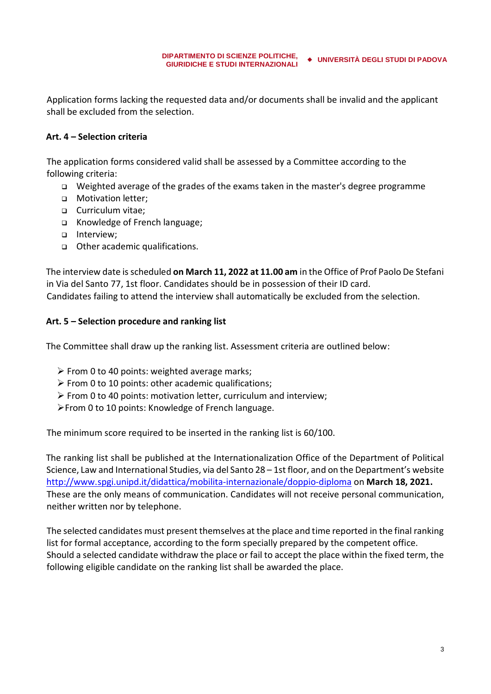Application forms lacking the requested data and/or documents shall be invalid and the applicant shall be excluded from the selection.

### **Art. 4 – Selection criteria**

The application forms considered valid shall be assessed by a Committee according to the following criteria:

- <sup>q</sup> Weighted average of the grades of the exams taken in the master's degree programme
- <sup>q</sup> Motivation letter;
- <sup>q</sup> Curriculum vitae;
- <sup>q</sup> Knowledge of French language;
- □ Interview;
- <sup>q</sup> Other academic qualifications.

The interview date is scheduled **on March 11, 2022 at 11.00 am** in the Office of Prof Paolo De Stefani in Via del Santo 77, 1st floor. Candidates should be in possession of their ID card. Candidates failing to attend the interview shall automatically be excluded from the selection.

#### **Art. 5 – Selection procedure and ranking list**

The Committee shall draw up the ranking list. Assessment criteria are outlined below:

- $\triangleright$  From 0 to 40 points: weighted average marks;
- $\triangleright$  From 0 to 10 points: other academic qualifications;
- $\triangleright$  From 0 to 40 points: motivation letter, curriculum and interview;
- ÿFrom 0 to 10 points: Knowledge of French language.

The minimum score required to be inserted in the ranking list is 60/100.

The ranking list shall be published at the Internationalization Office of the Department of Political Science, Law and International Studies, via del Santo 28 – 1st floor, and on the Department's website <http://www.spgi.unipd.it/didattica/mobilita-internazionale/doppio-diploma> on **March 18, 2021.** These are the only means of communication. Candidates will not receive personal communication, neither written nor by telephone.

The selected candidates must present themselves at the place and time reported in the final ranking list for formal acceptance, according to the form specially prepared by the competent office. Should a selected candidate withdraw the place or fail to accept the place within the fixed term, the following eligible candidate on the ranking list shall be awarded the place.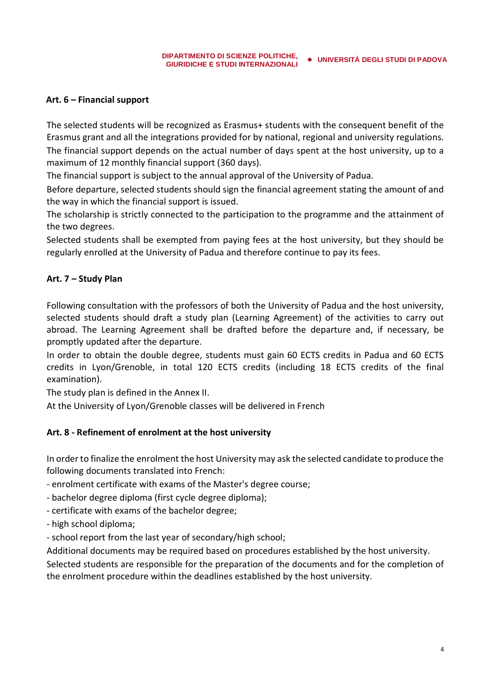#### **Art. 6 – Financial support**

The selected students will be recognized as Erasmus+ students with the consequent benefit of the Erasmus grant and all the integrations provided for by national, regional and university regulations.

The financial support depends on the actual number of days spent at the host university, up to a maximum of 12 monthly financial support (360 days).

The financial support is subject to the annual approval of the University of Padua.

Before departure, selected students should sign the financial agreement stating the amount of and the way in which the financial support is issued.

The scholarship is strictly connected to the participation to the programme and the attainment of the two degrees.

Selected students shall be exempted from paying fees at the host university, but they should be regularly enrolled at the University of Padua and therefore continue to pay its fees.

#### **Art. 7 – Study Plan**

Following consultation with the professors of both the University of Padua and the host university, selected students should draft a study plan (Learning Agreement) of the activities to carry out abroad. The Learning Agreement shall be drafted before the departure and, if necessary, be promptly updated after the departure.

In order to obtain the double degree, students must gain 60 ECTS credits in Padua and 60 ECTS credits in Lyon/Grenoble, in total 120 ECTS credits (including 18 ECTS credits of the final examination).

The study plan is defined in the Annex II.

At the University of Lyon/Grenoble classes will be delivered in French

### **Art. 8 - Refinement of enrolment at the host university**

In order to finalize the enrolment the host University may ask the selected candidate to produce the following documents translated into French:

- enrolment certificate with exams of the Master's degree course;

- bachelor degree diploma (first cycle degree diploma);

- certificate with exams of the bachelor degree;

- high school diploma;

- school report from the last year of secondary/high school;

Additional documents may be required based on procedures established by the host university.

Selected students are responsible for the preparation of the documents and for the completion of the enrolment procedure within the deadlines established by the host university.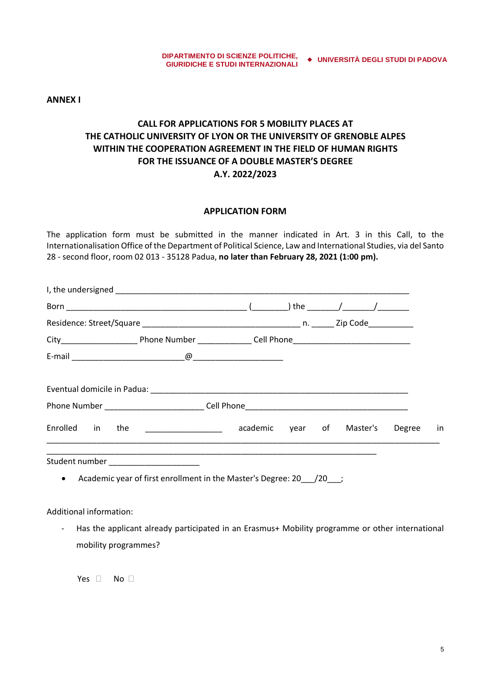**ANNEX I**

## **CALL FOR APPLICATIONS FOR 5 MOBILITY PLACES AT THE CATHOLIC UNIVERSITY OF LYON OR THE UNIVERSITY OF GRENOBLE ALPES WITHIN THE COOPERATION AGREEMENT IN THE FIELD OF HUMAN RIGHTS FOR THE ISSUANCE OF A DOUBLE MASTER'S DEGREE A.Y. 2022/2023**

#### **APPLICATION FORM**

The application form must be submitted in the manner indicated in Art. 3 in this Call, to the Internationalisation Office of the Department of Political Science, Law and International Studies, via del Santo 28 - second floor, room 02 013 - 35128 Padua, **no later than February 28, 2021 (1:00 pm).**

| Enrolled in the <b>Enrolle Enrolled</b> in the <b>Enrolle Enrolle Academic</b> |                                                                    |  | year of Master's | Degree | in |
|--------------------------------------------------------------------------------|--------------------------------------------------------------------|--|------------------|--------|----|
| Student number ____________________<br>$\bullet$                               | Academic year of first enrollment in the Master's Degree: 20 /20 ; |  |                  |        |    |

Additional information:

- Has the applicant already participated in an Erasmus+ Mobility programme or other international mobility programmes?

Yes No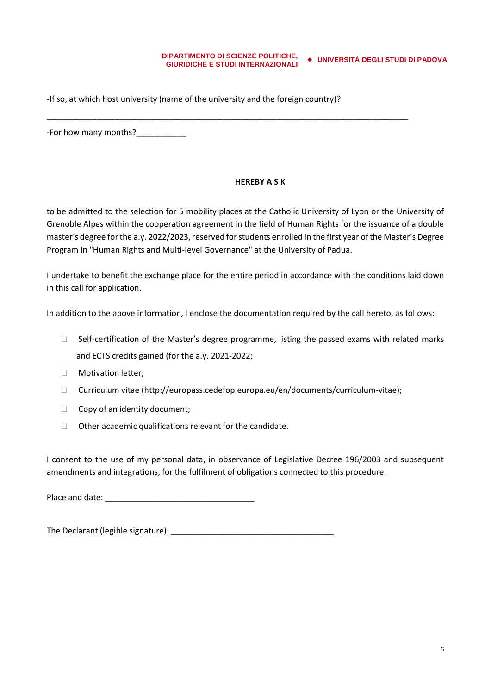-If so, at which host university (name of the university and the foreign country)?

\_\_\_\_\_\_\_\_\_\_\_\_\_\_\_\_\_\_\_\_\_\_\_\_\_\_\_\_\_\_\_\_\_\_\_\_\_\_\_\_\_\_\_\_\_\_\_\_\_\_\_\_\_\_\_\_\_\_\_\_\_\_\_\_\_\_\_\_\_\_\_\_\_\_\_\_\_\_\_\_

-For how many months?\_\_\_\_\_\_\_\_\_\_\_

#### **HEREBY A S K**

to be admitted to the selection for 5 mobility places at the Catholic University of Lyon or the University of Grenoble Alpes within the cooperation agreement in the field of Human Rights for the issuance of a double master's degree for the a.y. 2022/2023, reserved forstudents enrolled in the first year of the Master's Degree Program in "Human Rights and Multi-level Governance" at the University of Padua.

I undertake to benefit the exchange place for the entire period in accordance with the conditions laid down in this call for application.

In addition to the above information, I enclose the documentation required by the call hereto, as follows:

 Self-certification of the Master's degree programme, listing the passed exams with related marks and ECTS credits gained (for the a.y. 2021-2022;

Motivation letter;

Curriculum vitae (http://europass.cedefop.europa.eu/en/documents/curriculum-vitae);

Copy of an identity document;

Other academic qualifications relevant for the candidate.

I consent to the use of my personal data, in observance of Legislative Decree 196/2003 and subsequent amendments and integrations, for the fulfilment of obligations connected to this procedure.

Place and date: \_\_\_\_\_\_\_\_\_\_\_\_\_\_\_\_\_\_\_\_\_\_\_\_\_\_\_\_\_\_\_\_\_

The Declarant (legible signature):  $\blacksquare$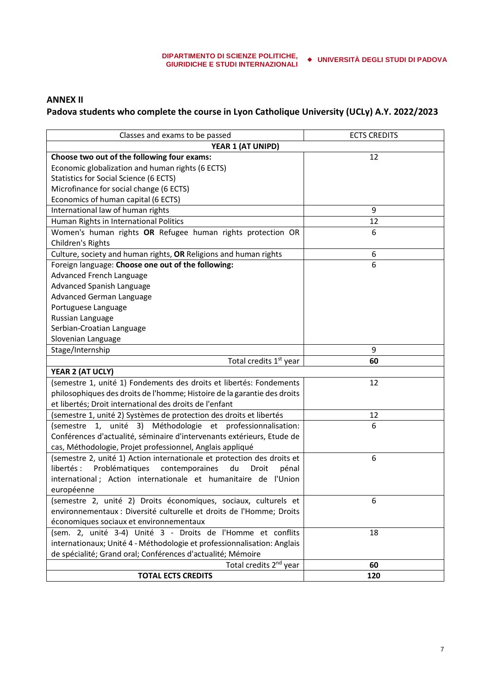## **ANNEX II Padova students who complete the course in Lyon Catholique University (UCLy) A.Y. 2022/2023**

| Classes and exams to be passed                                           | <b>ECTS CREDITS</b> |  |  |  |  |
|--------------------------------------------------------------------------|---------------------|--|--|--|--|
| YEAR 1 (AT UNIPD)                                                        |                     |  |  |  |  |
| Choose two out of the following four exams:                              | 12                  |  |  |  |  |
| Economic globalization and human rights (6 ECTS)                         |                     |  |  |  |  |
| Statistics for Social Science (6 ECTS)                                   |                     |  |  |  |  |
| Microfinance for social change (6 ECTS)                                  |                     |  |  |  |  |
| Economics of human capital (6 ECTS)                                      |                     |  |  |  |  |
| International law of human rights                                        | 9                   |  |  |  |  |
| Human Rights in International Politics                                   | 12                  |  |  |  |  |
| Women's human rights OR Refugee human rights protection OR               | 6                   |  |  |  |  |
| Children's Rights                                                        |                     |  |  |  |  |
| Culture, society and human rights, OR Religions and human rights         | 6                   |  |  |  |  |
| Foreign language: Choose one out of the following:                       | 6                   |  |  |  |  |
| Advanced French Language                                                 |                     |  |  |  |  |
| Advanced Spanish Language                                                |                     |  |  |  |  |
| Advanced German Language                                                 |                     |  |  |  |  |
| Portuguese Language                                                      |                     |  |  |  |  |
| Russian Language                                                         |                     |  |  |  |  |
| Serbian-Croatian Language                                                |                     |  |  |  |  |
| Slovenian Language                                                       |                     |  |  |  |  |
| Stage/Internship                                                         | 9                   |  |  |  |  |
| Total credits 1 <sup>st</sup> year                                       | 60                  |  |  |  |  |
| YEAR 2 (AT UCLY)                                                         |                     |  |  |  |  |
| (semestre 1, unité 1) Fondements des droits et libertés: Fondements      | 12                  |  |  |  |  |
| philosophiques des droits de l'homme; Histoire de la garantie des droits |                     |  |  |  |  |
| et libertés; Droit international des droits de l'enfant                  |                     |  |  |  |  |
| (semestre 1, unité 2) Systèmes de protection des droits et libertés      | 12                  |  |  |  |  |
| unité 3)<br>Méthodologie et professionnalisation:<br>1,<br>(semestre     | 6                   |  |  |  |  |
| Conférences d'actualité, séminaire d'intervenants extérieurs, Etude de   |                     |  |  |  |  |
| cas, Méthodologie, Projet professionnel, Anglais appliqué                |                     |  |  |  |  |
| (semestre 2, unité 1) Action internationale et protection des droits et  | 6                   |  |  |  |  |
| libertés :<br>Problématiques contemporaines<br>du<br>Droit<br>pénal      |                     |  |  |  |  |
| international; Action internationale et humanitaire de l'Union           |                     |  |  |  |  |
| européenne                                                               |                     |  |  |  |  |
| (semestre 2, unité 2) Droits économiques, sociaux, culturels et          | 6                   |  |  |  |  |
| environnementaux : Diversité culturelle et droits de l'Homme; Droits     |                     |  |  |  |  |
| économiques sociaux et environnementaux                                  |                     |  |  |  |  |
| (sem. 2, unité 3-4) Unité 3 - Droits de l'Homme et conflits              | 18                  |  |  |  |  |
| internationaux; Unité 4 - Méthodologie et professionnalisation: Anglais  |                     |  |  |  |  |
| de spécialité; Grand oral; Conférences d'actualité; Mémoire              |                     |  |  |  |  |
| Total credits 2 <sup>nd</sup> year                                       | 60                  |  |  |  |  |
| <b>TOTAL ECTS CREDITS</b>                                                | 120                 |  |  |  |  |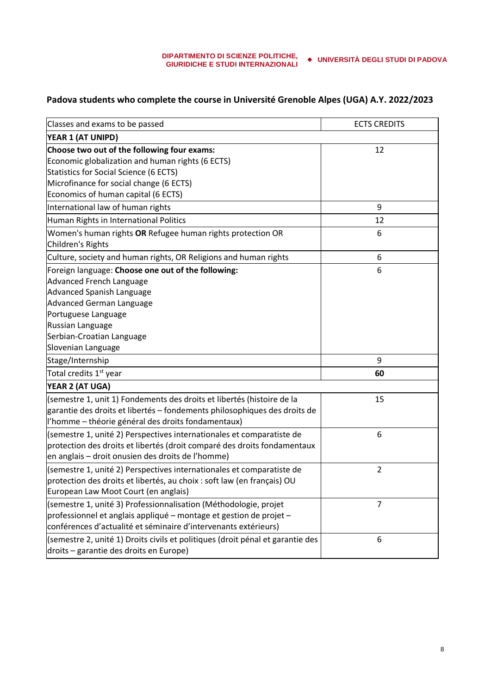# **Padova students who complete the course in Université Grenoble Alpes (UGA) A.Y. 2022/2023**

| Classes and exams to be passed                                                                                            | <b>ECTS CREDITS</b> |
|---------------------------------------------------------------------------------------------------------------------------|---------------------|
| YEAR 1 (AT UNIPD)                                                                                                         |                     |
| Choose two out of the following four exams:                                                                               | 12                  |
| Economic globalization and human rights (6 ECTS)                                                                          |                     |
| <b>Statistics for Social Science (6 ECTS)</b>                                                                             |                     |
| Microfinance for social change (6 ECTS)                                                                                   |                     |
| Economics of human capital (6 ECTS)                                                                                       |                     |
| International law of human rights                                                                                         | 9                   |
| Human Rights in International Politics                                                                                    | 12                  |
| Women's human rights OR Refugee human rights protection OR                                                                | 6                   |
| Children's Rights                                                                                                         |                     |
| Culture, society and human rights, OR Religions and human rights                                                          | 6                   |
| Foreign language: Choose one out of the following:                                                                        | 6                   |
| Advanced French Language                                                                                                  |                     |
| Advanced Spanish Language                                                                                                 |                     |
| Advanced German Language                                                                                                  |                     |
| Portuguese Language                                                                                                       |                     |
| Russian Language                                                                                                          |                     |
| Serbian-Croatian Language                                                                                                 |                     |
| Slovenian Language                                                                                                        |                     |
| Stage/Internship                                                                                                          | 9                   |
| Total credits 1 <sup>st</sup> year                                                                                        | 60                  |
| YEAR 2 (AT UGA)                                                                                                           |                     |
| (semestre 1, unit 1) Fondements des droits et libertés (histoire de la                                                    | 15                  |
| garantie des droits et libertés - fondements philosophiques des droits de                                                 |                     |
| l'homme - théorie général des droits fondamentaux)                                                                        |                     |
| (semestre 1, unité 2) Perspectives internationales et comparatiste de                                                     | 6                   |
| protection des droits et libertés (droit comparé des droits fondamentaux                                                  |                     |
| en anglais – droit onusien des droits de l'homme)                                                                         |                     |
| (semestre 1, unité 2) Perspectives internationales et comparatiste de                                                     | $\overline{2}$      |
| protection des droits et libertés, au choix : soft law (en français) OU                                                   |                     |
| European Law Moot Court (en anglais)                                                                                      |                     |
| (semestre 1, unité 3) Professionnalisation (Méthodologie, projet                                                          | $\overline{7}$      |
| professionnel et anglais appliqué - montage et gestion de projet -                                                        |                     |
| conférences d'actualité et séminaire d'intervenants extérieurs)                                                           |                     |
| (semestre 2, unité 1) Droits civils et politiques (droit pénal et garantie des<br>droits - garantie des droits en Europe) | 6                   |